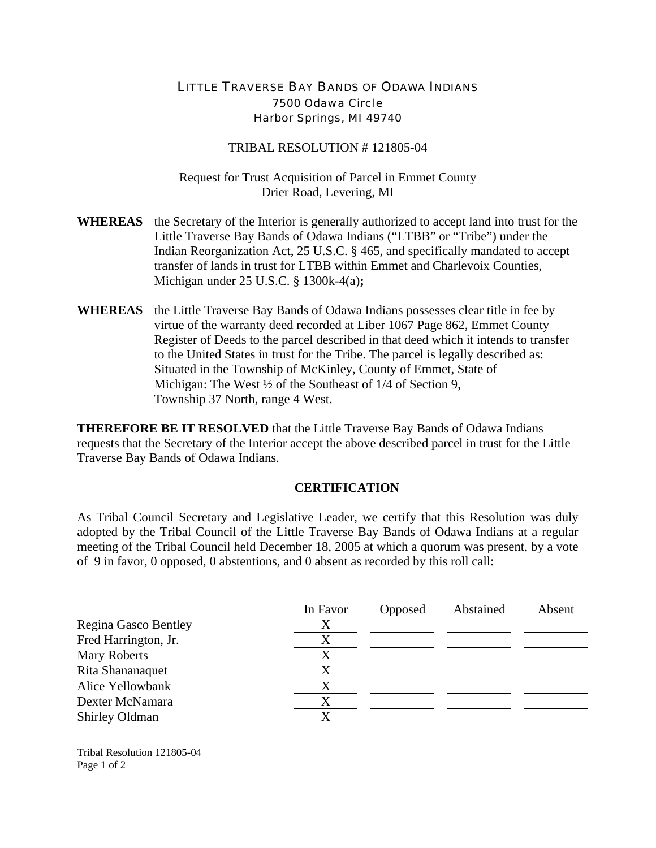## LITTLE TRAVERSE BAY BANDS OF ODAWA INDIANS 7500 Odawa Circle Harbor Springs, MI 49740

## TRIBAL RESOLUTION # 121805-04

Request for Trust Acquisition of Parcel in Emmet County Drier Road, Levering, MI

- **WHEREAS** the Secretary of the Interior is generally authorized to accept land into trust for the Little Traverse Bay Bands of Odawa Indians ("LTBB" or "Tribe") under the Indian Reorganization Act, 25 U.S.C. § 465, and specifically mandated to accept transfer of lands in trust for LTBB within Emmet and Charlevoix Counties, Michigan under 25 U.S.C. § 1300k-4(a)**;**
- **WHEREAS** the Little Traverse Bay Bands of Odawa Indians possesses clear title in fee by virtue of the warranty deed recorded at Liber 1067 Page 862, Emmet County Register of Deeds to the parcel described in that deed which it intends to transfer to the United States in trust for the Tribe. The parcel is legally described as: Situated in the Township of McKinley, County of Emmet, State of Michigan: The West  $\frac{1}{2}$  of the Southeast of 1/4 of Section 9, Township 37 North, range 4 West.

**THEREFORE BE IT RESOLVED** that the Little Traverse Bay Bands of Odawa Indians requests that the Secretary of the Interior accept the above described parcel in trust for the Little Traverse Bay Bands of Odawa Indians.

## **CERTIFICATION**

As Tribal Council Secretary and Legislative Leader, we certify that this Resolution was duly adopted by the Tribal Council of the Little Traverse Bay Bands of Odawa Indians at a regular meeting of the Tribal Council held December 18, 2005 at which a quorum was present, by a vote of 9 in favor, 0 opposed, 0 abstentions, and 0 absent as recorded by this roll call:

|                      | In Favor | Opposed | Abstained | Absent |
|----------------------|----------|---------|-----------|--------|
| Regina Gasco Bentley | Х        |         |           |        |
| Fred Harrington, Jr. |          |         |           |        |
| Mary Roberts         |          |         |           |        |
| Rita Shananaquet     |          |         |           |        |
| Alice Yellowbank     |          |         |           |        |
| Dexter McNamara      |          |         |           |        |
| Shirley Oldman       | Χ        |         |           |        |

Tribal Resolution 121805-04 Page 1 of 2